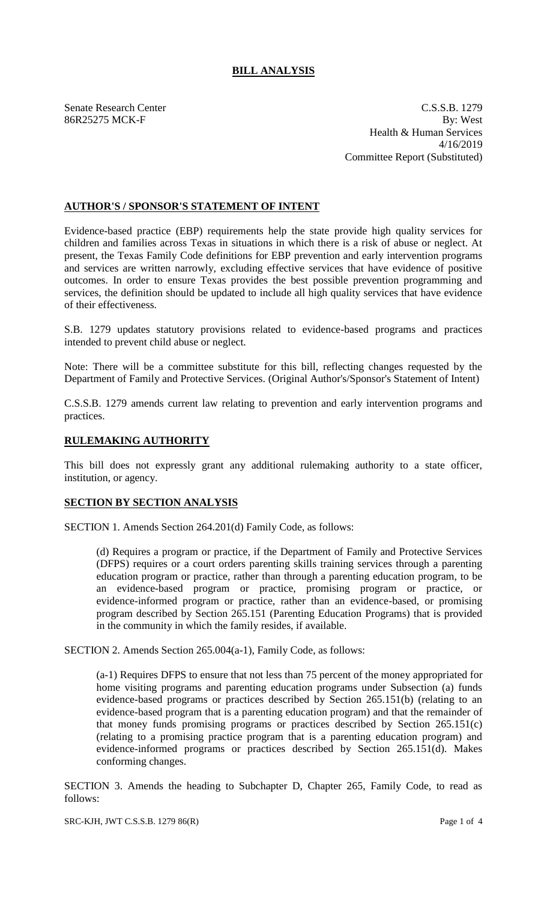# **BILL ANALYSIS**

Senate Research Center C.S.S.B. 1279 86R25275 MCK-F By: West Health & Human Services 4/16/2019 Committee Report (Substituted)

## **AUTHOR'S / SPONSOR'S STATEMENT OF INTENT**

Evidence-based practice (EBP) requirements help the state provide high quality services for children and families across Texas in situations in which there is a risk of abuse or neglect. At present, the Texas Family Code definitions for EBP prevention and early intervention programs and services are written narrowly, excluding effective services that have evidence of positive outcomes. In order to ensure Texas provides the best possible prevention programming and services, the definition should be updated to include all high quality services that have evidence of their effectiveness.

S.B. 1279 updates statutory provisions related to evidence-based programs and practices intended to prevent child abuse or neglect.

Note: There will be a committee substitute for this bill, reflecting changes requested by the Department of Family and Protective Services. (Original Author's/Sponsor's Statement of Intent)

C.S.S.B. 1279 amends current law relating to prevention and early intervention programs and practices.

## **RULEMAKING AUTHORITY**

This bill does not expressly grant any additional rulemaking authority to a state officer, institution, or agency.

## **SECTION BY SECTION ANALYSIS**

SECTION 1. Amends Section 264.201(d) Family Code, as follows:

(d) Requires a program or practice, if the Department of Family and Protective Services (DFPS) requires or a court orders parenting skills training services through a parenting education program or practice, rather than through a parenting education program, to be an evidence-based program or practice, promising program or practice, or evidence-informed program or practice, rather than an evidence-based, or promising program described by Section 265.151 (Parenting Education Programs) that is provided in the community in which the family resides, if available.

SECTION 2. Amends Section 265.004(a-1), Family Code, as follows:

(a-1) Requires DFPS to ensure that not less than 75 percent of the money appropriated for home visiting programs and parenting education programs under Subsection (a) funds evidence-based programs or practices described by Section 265.151(b) (relating to an evidence-based program that is a parenting education program) and that the remainder of that money funds promising programs or practices described by Section 265.151(c) (relating to a promising practice program that is a parenting education program) and evidence-informed programs or practices described by Section 265.151(d). Makes conforming changes.

SECTION 3. Amends the heading to Subchapter D, Chapter 265, Family Code, to read as follows: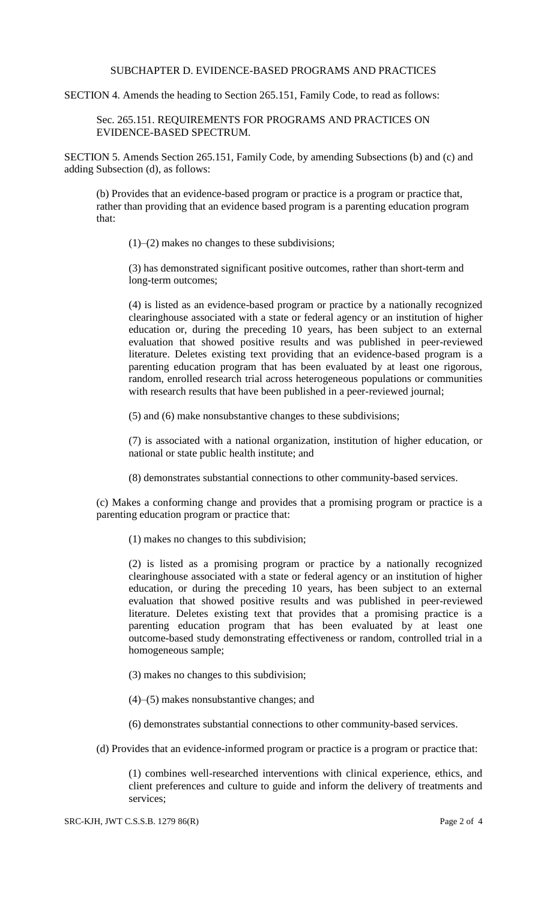### SUBCHAPTER D. EVIDENCE-BASED PROGRAMS AND PRACTICES

SECTION 4. Amends the heading to Section 265.151, Family Code, to read as follows:

Sec. 265.151. REQUIREMENTS FOR PROGRAMS AND PRACTICES ON EVIDENCE-BASED SPECTRUM.

SECTION 5. Amends Section 265.151, Family Code, by amending Subsections (b) and (c) and adding Subsection (d), as follows:

(b) Provides that an evidence-based program or practice is a program or practice that, rather than providing that an evidence based program is a parenting education program that:

 $(1)$ – $(2)$  makes no changes to these subdivisions;

(3) has demonstrated significant positive outcomes, rather than short-term and long-term outcomes;

(4) is listed as an evidence-based program or practice by a nationally recognized clearinghouse associated with a state or federal agency or an institution of higher education or, during the preceding 10 years, has been subject to an external evaluation that showed positive results and was published in peer-reviewed literature. Deletes existing text providing that an evidence-based program is a parenting education program that has been evaluated by at least one rigorous, random, enrolled research trial across heterogeneous populations or communities with research results that have been published in a peer-reviewed journal;

(5) and (6) make nonsubstantive changes to these subdivisions;

(7) is associated with a national organization, institution of higher education, or national or state public health institute; and

(8) demonstrates substantial connections to other community-based services.

(c) Makes a conforming change and provides that a promising program or practice is a parenting education program or practice that:

(1) makes no changes to this subdivision;

(2) is listed as a promising program or practice by a nationally recognized clearinghouse associated with a state or federal agency or an institution of higher education, or during the preceding 10 years, has been subject to an external evaluation that showed positive results and was published in peer-reviewed literature. Deletes existing text that provides that a promising practice is a parenting education program that has been evaluated by at least one outcome-based study demonstrating effectiveness or random, controlled trial in a homogeneous sample;

(3) makes no changes to this subdivision;

(4)–(5) makes nonsubstantive changes; and

(6) demonstrates substantial connections to other community-based services.

(d) Provides that an evidence-informed program or practice is a program or practice that:

(1) combines well-researched interventions with clinical experience, ethics, and client preferences and culture to guide and inform the delivery of treatments and services;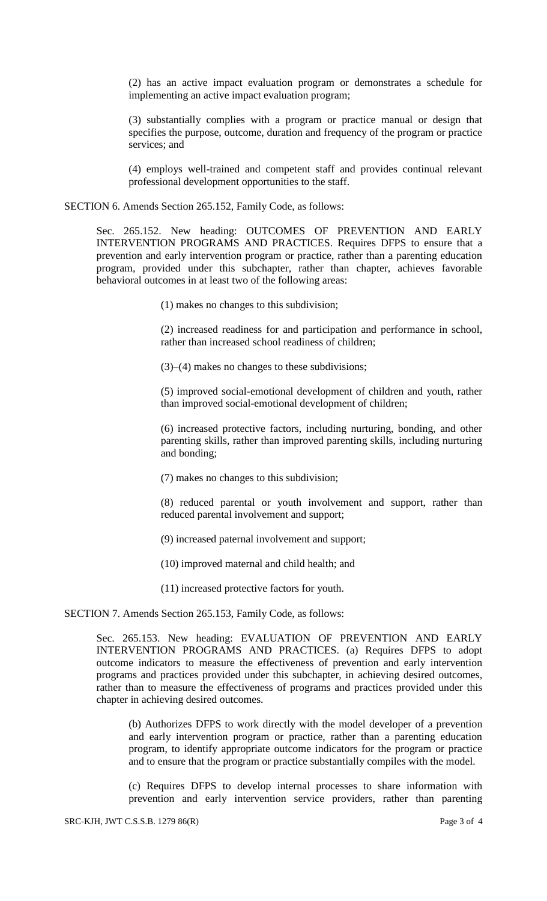(2) has an active impact evaluation program or demonstrates a schedule for implementing an active impact evaluation program;

(3) substantially complies with a program or practice manual or design that specifies the purpose, outcome, duration and frequency of the program or practice services; and

(4) employs well-trained and competent staff and provides continual relevant professional development opportunities to the staff.

SECTION 6. Amends Section 265.152, Family Code, as follows:

Sec. 265.152. New heading: OUTCOMES OF PREVENTION AND EARLY INTERVENTION PROGRAMS AND PRACTICES. Requires DFPS to ensure that a prevention and early intervention program or practice, rather than a parenting education program, provided under this subchapter, rather than chapter, achieves favorable behavioral outcomes in at least two of the following areas:

(1) makes no changes to this subdivision;

(2) increased readiness for and participation and performance in school, rather than increased school readiness of children;

(3)–(4) makes no changes to these subdivisions;

(5) improved social-emotional development of children and youth, rather than improved social-emotional development of children;

(6) increased protective factors, including nurturing, bonding, and other parenting skills, rather than improved parenting skills, including nurturing and bonding;

(7) makes no changes to this subdivision;

(8) reduced parental or youth involvement and support, rather than reduced parental involvement and support;

(9) increased paternal involvement and support;

(10) improved maternal and child health; and

(11) increased protective factors for youth.

SECTION 7. Amends Section 265.153, Family Code, as follows:

Sec. 265.153. New heading: EVALUATION OF PREVENTION AND EARLY INTERVENTION PROGRAMS AND PRACTICES. (a) Requires DFPS to adopt outcome indicators to measure the effectiveness of prevention and early intervention programs and practices provided under this subchapter, in achieving desired outcomes, rather than to measure the effectiveness of programs and practices provided under this chapter in achieving desired outcomes.

(b) Authorizes DFPS to work directly with the model developer of a prevention and early intervention program or practice, rather than a parenting education program, to identify appropriate outcome indicators for the program or practice and to ensure that the program or practice substantially compiles with the model.

(c) Requires DFPS to develop internal processes to share information with prevention and early intervention service providers, rather than parenting